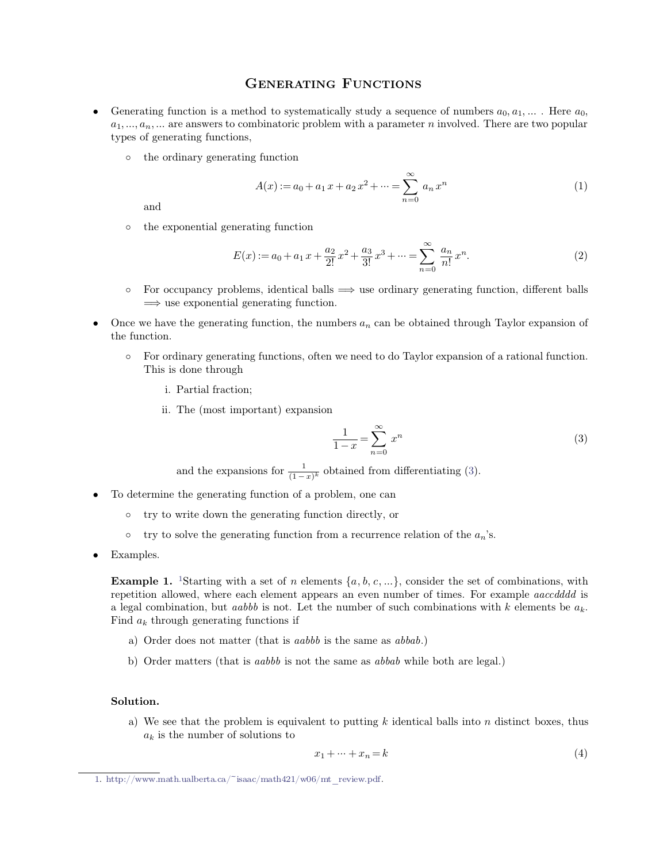- **GENERATING FUNCTIONS**<br>thod to systematically study a sequence of num **GENERATING FUNCTIONS**<br> **CENERATING FUNCTIONS**<br> **CENERATING FUNCTIONS**<br> **CENERATING FUNCTIONS**<br>  $a_1, ..., a_n, ...$  Here  $a_0, a_1, ...$ . Here  $a_0, a_1, ...$  are answers to combinatoric problem with a parameter *n* involved. There are t **GENERATING**<br>Generating function is a method to systematical  $a_1, ..., a_n, ...$  are answers to combinatoric problem<br>types of generating functions,<br>o the ordinary generating function
	-

$$
A(x) := a_0 + a_1 x + a_2 x^2 + \dots = \sum_{n=0}^{\infty} a_n x^n
$$
\nand\n
$$
\text{the exponential generating function}
$$
\n
$$
a_0 = a_0 + a_1 x + a_2 x^2 + \dots = \sum_{n=0}^{\infty} a_n x^n
$$
\n
$$
(1)
$$

and

<span id="page-0-0"></span>
$$
E(x) := a_0 + a_1 x + \frac{a_2}{2!} x^2 + \frac{a_3}{3!} x^3 + \dots = \sum_{n=0}^{\infty} \frac{a_n}{n!} x^n.
$$
 (2)

- 
- the exponential generating function<br>  $E(x) := a_0 + a_1 x + \frac{a_2}{2!} x^2 + \frac{a_3}{3!} x^3 + \dots = \sum_{n=0}^{\infty} \frac{a_n}{n!} x^n.$  (2)<br>
 For occupancy problems, identical balls  $\implies$  use ordinary generating function, different balls<br>  $\implies$  u o For occupancy problems, identical balls  $\implies$  use ordinary generating function, different balls  $\implies$  use exponential generating function.<br>Once we have the generating function, the numbers  $a_n$  can be obtained through
	- $\Rightarrow$  use exponential generating<br>ve have the generating function.<br>For ordinary generating function.<br>This is done through<br>i. Partial fraction: i.<br>Increase the generating function:<br>Increase through<br>i. Partial fraction;<br>i. The (most importan ordinary generating functions, often we need<br>s is done through<br>i. Partial fraction;<br>ii. The (most important) expansion<br> $\frac{1}{2}$ 
		-
		-

\n- ii. The (most important) expansion\n 
$$
\frac{1}{1-x} = \sum_{n=0}^{\infty} x^n
$$
\n and the expansions for  $\frac{1}{(1-x)^k}$  obtained from differentiating (3).
\n- To determine the generating function of a problem, one can\n
	\n- try to write down the generating function directly or
	\n\n
\n

try to write down the generating function directly, or otherwise the generating function of a problem, one can otherwise try to write down the generating function directly, or otherwise otherwise the generating function

- -
	-
- 

**1.** 19 Examples.<br> **Example 1.** 1Starting with a set of *n* elements  $\{a, b, c, ...\}$ , consider the set of combinations, with repetition allowed, where each element appears an even number of times. For example *aaccdddd* is o try to solve the generating function from a recurrence relation of the  $a_n$ 's.<br>Examples.<br>**Example 1.** <sup>1</sup>Starting with a set of *n* elements  $\{a, b, c, ...\}$ , consider the set of combinations, with repetition allowed, where **Example 1.** <sup>1</sup>Starting with a set of *n* elements  $\{a, b, c, ...\}$ , consider the set of combinations, with repetition allowed, where each element appears an even number of times. For example *aaccdddd* is a legal combinatio **ample 1.** <sup>1</sup>Starting with a set of *n* elements  $\{a, b, c, ...\}$ , consider the element allowed, where each element appears an even number of time gal combination, but *aabbb* is not. Let the number of such combinated  $a_k$  t repetition allowed, where each element appears an even number of times. For example *aaccdddd* is<br>a legal combination, but *aabbb* is not. Let the number of such combinations with  $k$  elements be  $a_k$ .<br>Find  $a_k$  through g

- <span id="page-0-1"></span>
- 

## **Solution.**

b) Order matters (that is *aabbb* is not the same as *abbab* while both are legal.)<br> **ution.**<br>
a) We see that the problem is equivalent to putting *k* identical balls into *n* distinct boxes, thus  $a_k$  is the number of so **a***d* is the number of solutions to  $x_1 + y_2 + z_3$ 

$$
x_1 + \dots + x_n = k \tag{4}
$$

[<sup>1.</sup>](#page-0-1) http://www.math.ualberta.ca/~isaac/math421/w06/mt\_review.pdf.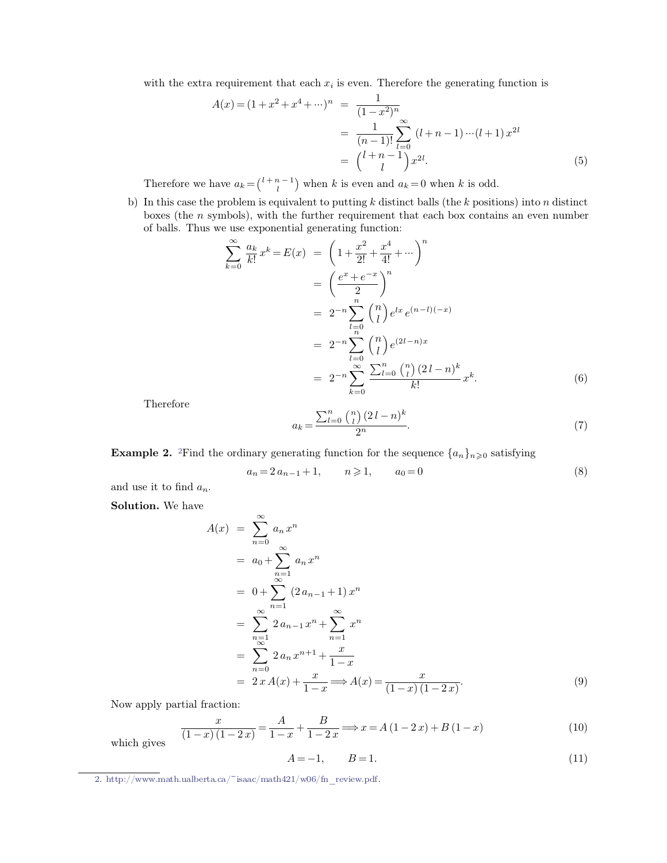with the extra requirement that each 
$$
x_i
$$
 is even. Therefore the generating function is  
\n
$$
A(x) = (1 + x^2 + x^4 + \cdots)^n = \frac{1}{(1 - x^2)^n}
$$
\n
$$
= \frac{1}{(n - 1)!} \sum_{l=0}^{\infty} (l + n - 1) \cdots (l + 1) x^{2l}
$$
\n
$$
= {l + n - 1 \choose l} x^{2l}.
$$
\nTherefore we have  $a_k = {l + n - 1 \choose l}$  when k is even and  $a_k = 0$  when k is odd.  
\nb) In this case the problem is equivalent to putting k distinct balls (the k positions) into n distinct boxes (the n symbols), with the further requirement that each box contains an even number

 $\binom{l+n-1}{i}$  when k

 $= {l+n-1 \choose l} x^{2l}.$  (5)<br>Therefore we have  $a_k = {l+n-1 \choose l}$  when k is even and  $a_k = 0$  when k is odd.<br>In this case the problem is equivalent to putting k distinct balls (the k positions) into n distinct<br>boxes (the n symbols), Therefore we have  $a_k = \binom{l+n-1}{l}$  when k is even and  $a_k = 0$ <br>In this case the problem is equivalent to putting k distinct b<br>boxes (the n symbols), with the further requirement that<br>of balls. Thus we use exponential genera b) In this case the problem is equivalent to putting  $k$  distinct balls (the  $k$  positions) into  $n$  distinct boxes (the  $n$  symbols), with the further requirement that each box contains an even number of balls. Thus we u

$$
\sum_{k=0}^{\infty} \frac{a_k}{k!} x^k = E(x) = \left(1 + \frac{x^2}{2!} + \frac{x^4}{4!} + \cdots \right)^n
$$
  
=  $\left(\frac{e^x + e^{-x}}{2}\right)^n$   
=  $2^{-n} \sum_{l=0}^n {n \choose l} e^{lx} e^{(n-l)(-x)}$   
=  $2^{-n} \sum_{l=0}^n {n \choose l} e^{(2l-n)x}$   
=  $2^{-n} \sum_{k=0}^{\infty} \frac{\sum_{l=0}^n {n \choose l} (2l-n)^k}{k!} x^k.$  (6)

<span id="page-1-0"></span>Therefore

Therefore  
\n
$$
a_k = \frac{\sum_{l=0}^{n} {n \choose l} (2l - n)^k}{2^n}.
$$
\n(7)  
\n**Example 2.** <sup>2</sup>Find the ordinary generating function for the sequence  $\{a_n\}_{n \ge 0}$  satisfying  
\n
$$
a_n = 2 a_{n-1} + 1, \qquad n \ge 1, \qquad a_0 = 0
$$
\n(8)  
\nand use it to find  $a_n$ .

**Example 2.** <sup>2</sup>Find the order and use it to find  $a_n$ .<br>**Solution.** We have

$$
a_n = 2 a_{n-1} + 1, \qquad n \ge 1, \qquad a_0 = 0 \tag{8}
$$

$$
A(x) = \sum_{n=0}^{\infty} a_n x^n
$$
  
\n
$$
= a_0 + \sum_{n=1}^{\infty} a_n x^n
$$
  
\n
$$
= 0 + \sum_{n=1}^{\infty} (2a_{n-1} + 1) x^n
$$
  
\n
$$
= \sum_{n=1}^{\infty} 2a_{n-1} x^n + \sum_{n=1}^{\infty} x^n
$$
  
\n
$$
= \sum_{n=0}^{\infty} 2a_n x^{n+1} + \frac{x}{1-x}
$$
  
\n
$$
= 2x A(x) + \frac{x}{1-x} \Longrightarrow A(x) = \frac{x}{(1-x)(1-2x)}.
$$
  
\nNow apply partial fraction:  
\n
$$
x = A + B \Longrightarrow x = A(1-2x) + B(1-x)
$$
 (10)

Now apply partial  $\frac{1}{1-\epsilon}$ 

tial fraction:  
\n
$$
\frac{x}{(1-x)(1-2x)} = \frac{A}{1-x} + \frac{B}{1-2x} \Longrightarrow x = A(1-2x) + B(1-x)
$$
\n(10)  
\n
$$
A = -1, \qquad B = 1.
$$
\n(11)  
\n
$$
a = \frac{A}{1-x} + \frac{C}{1-2x} \Longrightarrow x = A(1-2x) + B(1-x)
$$
\n(12)

$$
A = -1, \qquad B = 1. \tag{11}
$$

[<sup>2.</sup>](#page-1-0) http://www.math.ualberta.ca/~isaac/math421/w06/fn\_review.pdf.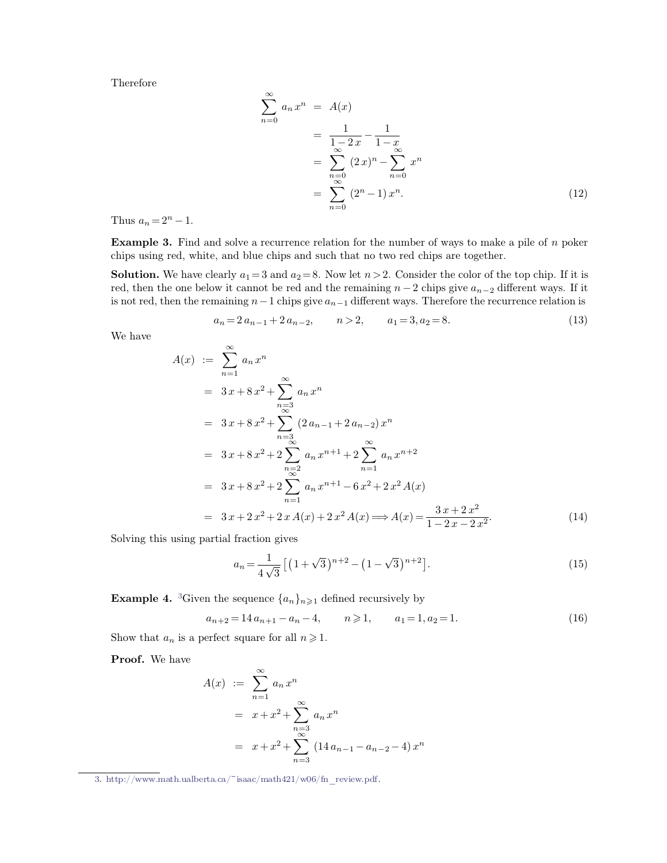Therefore

$$
\sum_{n=0}^{\infty} a_n x^n = A(x)
$$
\n
$$
= \frac{1}{1-2x} - \frac{1}{1-x}
$$
\n
$$
= \sum_{n=0}^{\infty} (2x)^n - \sum_{n=0}^{\infty} x^n
$$
\n
$$
= \sum_{n=0}^{\infty} (2^n - 1) x^n.
$$
\nThus  $a_n = 2^n - 1$ .  
\n**Example 3.** Find and solve a recurrence relation for the number of ways to make a pile of *n* poker chips using red, white, and blue chips and such that no two red chips are together.

Thus  $a_n = 2^n - 1$ .<br>**Example 3.** Find and solve a recurrence relation for the number of ways to make a pile of *n* poker chips using red, white, and blue chips and such that no two red chips are together.

**Example 3.** Find and solve a recurrence relation for the number of ways to make a pile of *n* poker<br>chips using red, white, and blue chips and such that no two red chips are together.<br>**Solution.** We have clearly  $a_1 = 3$ **Example 3.** Find and solve a recurrence relation for the number of ways to make a pile of *n* poker chips using red, white, and blue chips and such that no two red chips are together.<br>**Solution.** We have clearly  $a_1 = 3$ **Example 3.** Find and solve a recurrence relation for the number of ways to make a pile of *n* poker chips using red, white, and blue chips and such that no two red chips are together.<br> **Solution.** We have clearly  $a_1 = 3$ early  $a_1 = 3$  and  $a_2 = 8$ . Now let  $n > 2$ . Consider the color of the top chip. If it is<br>we it cannot be red and the remaining  $n - 2$  chips give  $a_{n-2}$  different ways. If it<br>maining  $n - 1$  chips give  $a_{n-1}$  different red, then the one below it cannot be red and the remaining  $n-2$  chips give  $a_{n-2}$  different ways. If it is not red, then the remaining  $n-1$  chips give  $a_{n-1}$  different ways. Therefore the recurrence relation is  $a_n =$ 

$$
a_n = 2 a_{n-1} + 2 a_{n-2}, \qquad n > 2, \qquad a_1 = 3, a_2 = 8. \tag{13}
$$

We have  
\n
$$
A(x) := \sum_{n=1}^{\infty} a_n x^n
$$
\n
$$
= 3x + 8x^2 + \sum_{n=3}^{\infty} a_n x^n
$$
\n
$$
= 3x + 8x^2 + \sum_{n=3}^{\infty} (2a_{n-1} + 2a_{n-2}) x^n
$$
\n
$$
= 3x + 8x^2 + 2 \sum_{n=3}^{\infty} a_n x^{n+1} + 2 \sum_{n=1}^{\infty} a_n x^{n+2}
$$
\n
$$
= 3x + 8x^2 + 2 \sum_{n=1}^{\infty} a_n x^{n+1} - 6x^2 + 2x^2 A(x)
$$
\n
$$
= 3x + 2x^2 + 2x A(x) + 2x^2 A(x) \Rightarrow A(x) = \frac{3x + 2x^2}{1 - 2x - 2x^2}.
$$
\n(14)  
\nSolving this using partial fraction gives  
\n
$$
a_n = \frac{1}{4\sqrt{3}} [(1 + \sqrt{3})^{n+2} - (1 - \sqrt{3})^{n+2}].
$$

$$
= 3x + 2x^{2} + 2xA(x) + 2x^{2}A(x) \Longrightarrow A(x) = \frac{3x + 2x^{2}}{1 - 2x - 2x^{2}}.
$$
 (14)  
Solving this using partial fraction gives  

$$
a_{n} = \frac{1}{4\sqrt{3}} \left[ (1 + \sqrt{3})^{n+2} - (1 - \sqrt{3})^{n+2} \right].
$$
 (15)  
**Example 4.** <sup>3</sup>Given the sequence  $\{a_{n}\}_{n \ge 1}$  defined recursively by  

$$
a_{n+2} = 14 a_{n+1} - a_{n} - 4, \qquad n \ge 1, \qquad a_{1} = 1, a_{2} = 1.
$$
 (16)  
Show that  $a_{n}$  is a perfect square for all  $n \ge 1$ .

**Example 4.** <sup>3</sup>Given the sequence  $\{a_n\}_{n\geq 1}$  defined recu<br>  $a_{n+2} = 14 a_{n+1} - a_n - 4, \t n \geq 1,$ <br>
Show that  $a_n$  is a perfect square for all  $n \geq 1$ .<br> **Proof.** We have

<span id="page-2-0"></span>
$$
a_{n+2} = 14a_{n+1} - a_n - 4, \qquad n \ge 1, \qquad a_1 = 1, a_2 = 1. \tag{16}
$$

$$
A(x) := \sum_{n=1}^{\infty} a_n x^n
$$
  
=  $x + x^2 + \sum_{\substack{n=3 \ \infty}}^{\infty} a_n x^n$   
=  $x + x^2 + \sum_{n=3}^{\infty} (14 a_{n-1} - a_{n-2} - 4) x^n$ 

[<sup>3.</sup>](#page-2-0) http://www.math.ualberta.ca/~isaac/math421/w06/fn\_review.pdf.